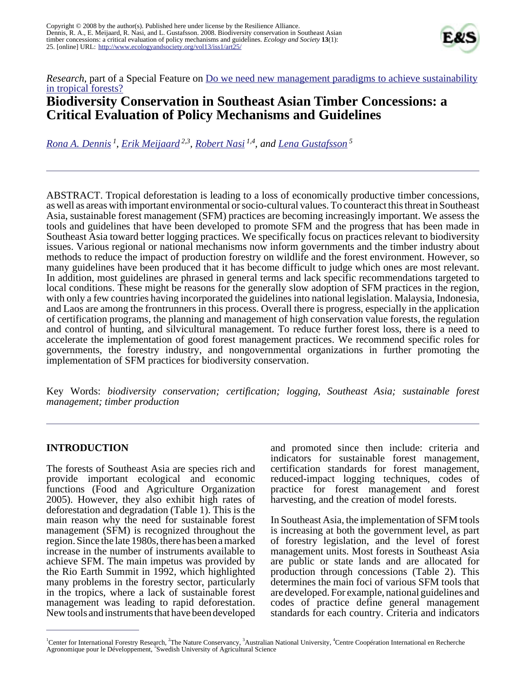

# *Research*, part of a Special Feature on <u>Do we need new management paradigms to achieve sustainability</u> [in tropical forests?](http://www.ecologyandsociety.org/viewissue.php?sf=27)

# **Biodiversity Conservation in Southeast Asian Timber Concessions: a Critical Evaluation of Policy Mechanisms and Guidelines**

*[Rona A. Dennis](mailto:rdennis@hn.ozemail.com.au)<sup>1</sup> , [Erik Meijaard](mailto:emeijaard@TNC.ORG) 2,3 , [Robert Nasi](mailto:r.nasi@cgiar.org) 1,4, and [Lena Gustafsson](mailto:Lena.Gustafsson@nvb.slu.se)<sup>5</sup>*

ABSTRACT. Tropical deforestation is leading to a loss of economically productive timber concessions, as well as areas with important environmental or socio-cultural values. To counteract this threat in Southeast Asia, sustainable forest management (SFM) practices are becoming increasingly important. We assess the tools and guidelines that have been developed to promote SFM and the progress that has been made in Southeast Asia toward better logging practices. We specifically focus on practices relevant to biodiversity issues. Various regional or national mechanisms now inform governments and the timber industry about methods to reduce the impact of production forestry on wildlife and the forest environment. However, so many guidelines have been produced that it has become difficult to judge which ones are most relevant. In addition, most guidelines are phrased in general terms and lack specific recommendations targeted to local conditions. These might be reasons for the generally slow adoption of SFM practices in the region, with only a few countries having incorporated the guidelines into national legislation. Malaysia, Indonesia, and Laos are among the frontrunners in this process. Overall there is progress, especially in the application of certification programs, the planning and management of high conservation value forests, the regulation and control of hunting, and silvicultural management. To reduce further forest loss, there is a need to accelerate the implementation of good forest management practices. We recommend specific roles for governments, the forestry industry, and nongovernmental organizations in further promoting the implementation of SFM practices for biodiversity conservation.

Key Words: *biodiversity conservation; certification; logging, Southeast Asia; sustainable forest management; timber production*

## **INTRODUCTION**

The forests of Southeast Asia are species rich and provide important ecological and economic functions (Food and Agriculture Organization 2005). However, they also exhibit high rates of deforestation and degradation (Table 1). This is the main reason why the need for sustainable forest management (SFM) is recognized throughout the region. Since the late 1980s, there has been a marked increase in the number of instruments available to achieve SFM. The main impetus was provided by the Rio Earth Summit in 1992, which highlighted many problems in the forestry sector, particularly in the tropics, where a lack of sustainable forest management was leading to rapid deforestation. New tools and instruments that have been developed and promoted since then include: criteria and indicators for sustainable forest management, certification standards for forest management, reduced-impact logging techniques, codes of practice for forest management and forest harvesting, and the creation of model forests.

In Southeast Asia, the implementation of SFM tools is increasing at both the government level, as part of forestry legislation, and the level of forest management units. Most forests in Southeast Asia are public or state lands and are allocated for production through concessions (Table 2). This determines the main foci of various SFM tools that are developed. For example, national guidelines and codes of practice define general management standards for each country. Criteria and indicators

<sup>&</sup>lt;sup>1</sup>Center for International Forestry Research, <sup>2</sup>The Nature Conservancy, <sup>3</sup>Australian National University, <sup>4</sup>Centre Coopération International en Recherche Agronomique pour le Développement, <sup>5</sup> Swedish University of Agricultural Science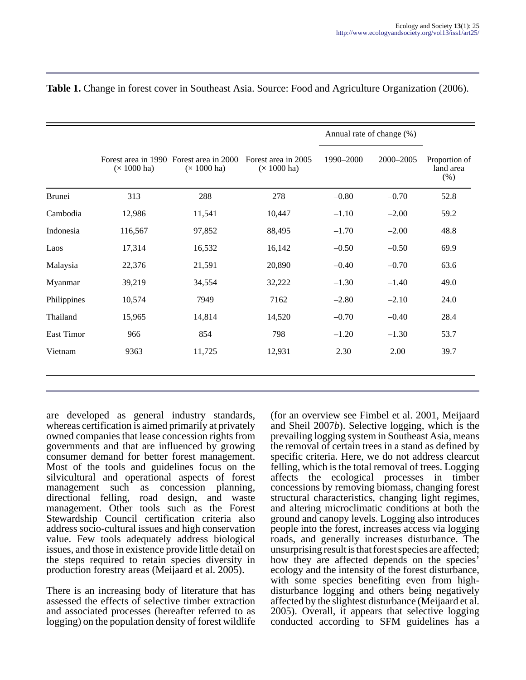|               |                    |                                                               |                                           |           | Annual rate of change (%) |                                    |
|---------------|--------------------|---------------------------------------------------------------|-------------------------------------------|-----------|---------------------------|------------------------------------|
|               | $(\times 1000$ ha) | Forest area in 1990 Forest area in 2000<br>$(\times 1000$ ha) | Forest area in 2005<br>$(\times 1000$ ha) | 1990-2000 | 2000-2005                 | Proportion of<br>land area<br>(% ) |
| <b>Brunei</b> | 313                | 288                                                           | 278                                       | $-0.80$   | $-0.70$                   | 52.8                               |
| Cambodia      | 12,986             | 11,541                                                        | 10,447                                    | $-1.10$   | $-2.00$                   | 59.2                               |
| Indonesia     | 116,567            | 97,852                                                        | 88,495                                    | $-1.70$   | $-2.00$                   | 48.8                               |
| Laos          | 17,314             | 16,532                                                        | 16,142                                    | $-0.50$   | $-0.50$                   | 69.9                               |
| Malaysia      | 22,376             | 21,591                                                        | 20,890                                    | $-0.40$   | $-0.70$                   | 63.6                               |
| Myanmar       | 39,219             | 34,554                                                        | 32,222                                    | $-1.30$   | $-1.40$                   | 49.0                               |
| Philippines   | 10,574             | 7949                                                          | 7162                                      | $-2.80$   | $-2.10$                   | 24.0                               |
| Thailand      | 15,965             | 14,814                                                        | 14,520                                    | $-0.70$   | $-0.40$                   | 28.4                               |
| East Timor    | 966                | 854                                                           | 798                                       | $-1.20$   | $-1.30$                   | 53.7                               |
| Vietnam       | 9363               | 11,725                                                        | 12,931                                    | 2.30      | 2.00                      | 39.7                               |
|               |                    |                                                               |                                           |           |                           |                                    |

**Table 1.** Change in forest cover in Southeast Asia. Source: Food and Agriculture Organization (2006).

are developed as general industry standards, whereas certification is aimed primarily at privately owned companies that lease concession rights from governments and that are influenced by growing consumer demand for better forest management. Most of the tools and guidelines focus on the silvicultural and operational aspects of forest management such as concession planning, directional felling, road design, and waste management. Other tools such as the Forest Stewardship Council certification criteria also address socio-cultural issues and high conservation value. Few tools adequately address biological issues, and those in existence provide little detail on the steps required to retain species diversity in production forestry areas (Meijaard et al. 2005).

There is an increasing body of literature that has assessed the effects of selective timber extraction and associated processes (hereafter referred to as logging) on the population density of forest wildlife

(for an overview see Fimbel et al. 2001, Meijaard and Sheil 2007*b*). Selective logging, which is the prevailing logging system in Southeast Asia, means the removal of certain trees in a stand as defined by specific criteria. Here, we do not address clearcut felling, which is the total removal of trees. Logging affects the ecological processes in timber concessions by removing biomass, changing forest structural characteristics, changing light regimes, and altering microclimatic conditions at both the ground and canopy levels. Logging also introduces people into the forest, increases access via logging roads, and generally increases disturbance. The unsurprising result is that forest species are affected; how they are affected depends on the species' ecology and the intensity of the forest disturbance, with some species benefiting even from highdisturbance logging and others being negatively affected by the slightest disturbance (Meijaard et al. 2005). Overall, it appears that selective logging conducted according to SFM guidelines has a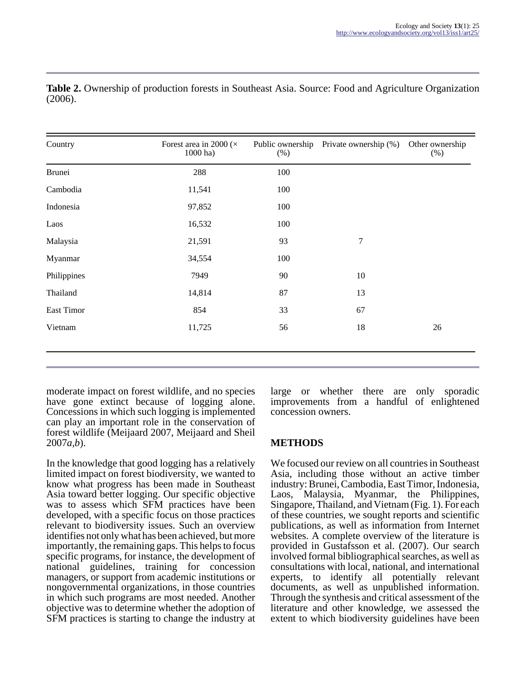| Country     | Forest area in 2000 ( $\times$<br>1000 ha) | (% ) | Public ownership Private ownership (%) | Other ownership<br>(% ) |
|-------------|--------------------------------------------|------|----------------------------------------|-------------------------|
| Brunei      | 288                                        | 100  |                                        |                         |
| Cambodia    | 11,541                                     | 100  |                                        |                         |
| Indonesia   | 97,852                                     | 100  |                                        |                         |
| Laos        | 16,532                                     | 100  |                                        |                         |
| Malaysia    | 21,591                                     | 93   | 7                                      |                         |
| Myanmar     | 34,554                                     | 100  |                                        |                         |
| Philippines | 7949                                       | 90   | 10                                     |                         |
| Thailand    | 14,814                                     | 87   | 13                                     |                         |
| East Timor  | 854                                        | 33   | 67                                     |                         |
| Vietnam     | 11,725                                     | 56   | 18                                     | 26                      |
|             |                                            |      |                                        |                         |

**Table 2.** Ownership of production forests in Southeast Asia. Source: Food and Agriculture Organization (2006).

moderate impact on forest wildlife, and no species have gone extinct because of logging alone. Concessions in which such logging is implemented can play an important role in the conservation of forest wildlife (Meijaard 2007, Meijaard and Sheil 2007*a,b*).

In the knowledge that good logging has a relatively limited impact on forest biodiversity, we wanted to know what progress has been made in Southeast Asia toward better logging. Our specific objective was to assess which SFM practices have been developed, with a specific focus on those practices relevant to biodiversity issues. Such an overview identifies not only what has been achieved, but more importantly, the remaining gaps. This helps to focus specific programs, for instance, the development of national guidelines, training for concession managers, or support from academic institutions or nongovernmental organizations, in those countries in which such programs are most needed. Another objective was to determine whether the adoption of SFM practices is starting to change the industry at

large or whether there are only sporadic improvements from a handful of enlightened concession owners.

## **METHODS**

We focused our review on all countries in Southeast Asia, including those without an active timber industry: Brunei, Cambodia, East Timor, Indonesia, Laos, Malaysia, Myanmar, the Philippines, Singapore, Thailand, and Vietnam (Fig. 1). For each of these countries, we sought reports and scientific publications, as well as information from Internet websites. A complete overview of the literature is provided in Gustafsson et al. (2007). Our search involved formal bibliographical searches, as well as consultations with local, national, and international experts, to identify all potentially relevant documents, as well as unpublished information. Through the synthesis and critical assessment of the literature and other knowledge, we assessed the extent to which biodiversity guidelines have been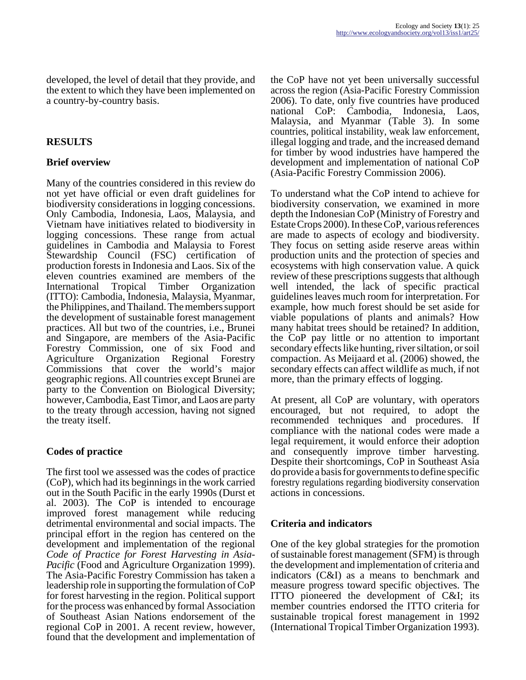developed, the level of detail that they provide, and the extent to which they have been implemented on a country-by-country basis.

# **RESULTS**

#### **Brief overview**

Many of the countries considered in this review do not yet have official or even draft guidelines for biodiversity considerations in logging concessions. Only Cambodia, Indonesia, Laos, Malaysia, and Vietnam have initiatives related to biodiversity in logging concessions. These range from actual guidelines in Cambodia and Malaysia to Forest Stewardship Council (FSC) certification of production forests in Indonesia and Laos. Six of the eleven countries examined are members of the<br>International Tropical Timber Organization International Tropical Timber Organization (ITTO): Cambodia, Indonesia, Malaysia, Myanmar, the Philippines, and Thailand. The members support the development of sustainable forest management practices. All but two of the countries, i.e., Brunei and Singapore, are members of the Asia-Pacific Forestry Commission, one of six Food and Agriculture Organization Regional Forestry Commissions that cover the world's major geographic regions. All countries except Brunei are party to the Convention on Biological Diversity; however, Cambodia, East Timor, and Laos are party to the treaty through accession, having not signed the treaty itself.

## **Codes of practice**

The first tool we assessed was the codes of practice (CoP), which had its beginnings in the work carried out in the South Pacific in the early 1990s (Durst et al. 2003). The CoP is intended to encourage improved forest management while reducing detrimental environmental and social impacts. The principal effort in the region has centered on the development and implementation of the regional *Code of Practice for Forest Harvesting in Asia-Pacific* (Food and Agriculture Organization 1999). The Asia-Pacific Forestry Commission has taken a leadership role in supporting the formulation of CoP for forest harvesting in the region. Political support for the process was enhanced by formal Association of Southeast Asian Nations endorsement of the regional CoP in 2001. A recent review, however, found that the development and implementation of

the CoP have not yet been universally successful across the region (Asia-Pacific Forestry Commission 2006). To date, only five countries have produced national CoP: Cambodia, Indonesia, Laos, Malaysia, and Myanmar (Table 3). In some countries, political instability, weak law enforcement, illegal logging and trade, and the increased demand for timber by wood industries have hampered the development and implementation of national CoP (Asia-Pacific Forestry Commission 2006).

To understand what the CoP intend to achieve for biodiversity conservation, we examined in more depth the Indonesian CoP (Ministry of Forestry and Estate Crops 2000). In these CoP, various references are made to aspects of ecology and biodiversity. They focus on setting aside reserve areas within production units and the protection of species and ecosystems with high conservation value. A quick review of these prescriptions suggests that although well intended, the lack of specific practical guidelines leaves much room for interpretation. For example, how much forest should be set aside for viable populations of plants and animals? How many habitat trees should be retained? In addition, the CoP pay little or no attention to important secondary effects like hunting, river siltation, or soil compaction. As Meijaard et al. (2006) showed, the secondary effects can affect wildlife as much, if not more, than the primary effects of logging.

At present, all CoP are voluntary, with operators encouraged, but not required, to adopt the recommended techniques and procedures. If compliance with the national codes were made a legal requirement, it would enforce their adoption and consequently improve timber harvesting. Despite their shortcomings, CoP in Southeast Asia do provide a basis for governments to define specific forestry regulations regarding biodiversity conservation actions in concessions.

## **Criteria and indicators**

One of the key global strategies for the promotion of sustainable forest management (SFM) is through the development and implementation of criteria and indicators (C&I) as a means to benchmark and measure progress toward specific objectives. The ITTO pioneered the development of C&I; its member countries endorsed the ITTO criteria for sustainable tropical forest management in 1992 (International Tropical Timber Organization 1993).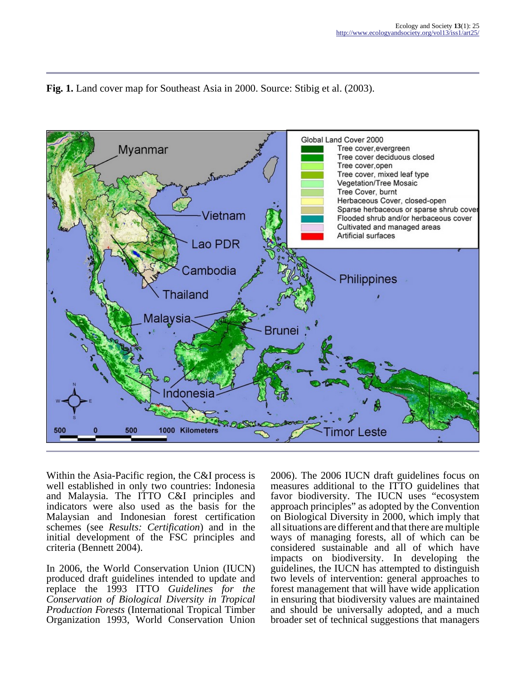



Within the Asia-Pacific region, the C&I process is well established in only two countries: Indonesia and Malaysia. The ITTO C&I principles and indicators were also used as the basis for the Malaysian and Indonesian forest certification schemes (see *Results: Certification*) and in the initial development of the FSC principles and criteria (Bennett 2004).

In 2006, the World Conservation Union (IUCN) produced draft guidelines intended to update and replace the 1993 ITTO *Guidelines for the Conservation of Biological Diversity in Tropical Production Forests* (International Tropical Timber Organization 1993, World Conservation Union 2006). The 2006 IUCN draft guidelines focus on measures additional to the ITTO guidelines that favor biodiversity. The IUCN uses "ecosystem approach principles" as adopted by the Convention on Biological Diversity in 2000, which imply that all situations are different and that there are multiple ways of managing forests, all of which can be considered sustainable and all of which have impacts on biodiversity. In developing the guidelines, the IUCN has attempted to distinguish two levels of intervention: general approaches to forest management that will have wide application in ensuring that biodiversity values are maintained and should be universally adopted, and a much broader set of technical suggestions that managers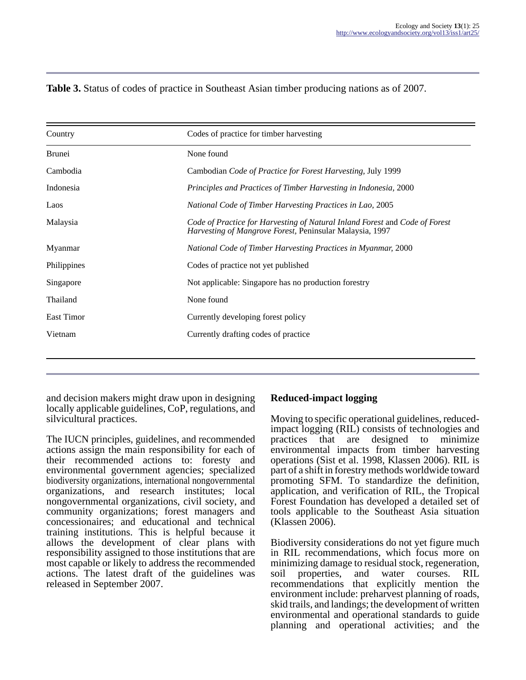| Country       | Codes of practice for timber harvesting                                                                                                 |
|---------------|-----------------------------------------------------------------------------------------------------------------------------------------|
| <b>Brunei</b> | None found                                                                                                                              |
| Cambodia      | Cambodian Code of Practice for Forest Harvesting, July 1999                                                                             |
| Indonesia     | Principles and Practices of Timber Harvesting in Indonesia, 2000                                                                        |
| Laos          | National Code of Timber Harvesting Practices in Lao, 2005                                                                               |
| Malaysia      | Code of Practice for Harvesting of Natural Inland Forest and Code of Forest<br>Harvesting of Mangrove Forest, Peninsular Malaysia, 1997 |
| Myanmar       | National Code of Timber Harvesting Practices in Myanmar, 2000                                                                           |
| Philippines   | Codes of practice not yet published                                                                                                     |
| Singapore     | Not applicable: Singapore has no production forestry                                                                                    |
| Thailand      | None found                                                                                                                              |
| East Timor    | Currently developing forest policy                                                                                                      |
| Vietnam       | Currently drafting codes of practice                                                                                                    |

**Table 3.** Status of codes of practice in Southeast Asian timber producing nations as of 2007.

and decision makers might draw upon in designing locally applicable guidelines, CoP, regulations, and silvicultural practices.

The IUCN principles, guidelines, and recommended actions assign the main responsibility for each of their recommended actions to: foresty and environmental government agencies; specialized biodiversity organizations, international nongovernmental organizations, and research institutes; local nongovernmental organizations, civil society, and community organizations; forest managers and concessionaires; and educational and technical training institutions. This is helpful because it allows the development of clear plans with responsibility assigned to those institutions that are most capable or likely to address the recommended actions. The latest draft of the guidelines was released in September 2007.

# **Reduced-impact logging**

Moving to specific operational guidelines, reducedimpact logging (RIL) consists of technologies and practices that are designed to minimize environmental impacts from timber harvesting operations (Sist et al. 1998, Klassen 2006). RIL is part of a shift in forestry methods worldwide toward promoting SFM. To standardize the definition, application, and verification of RIL, the Tropical Forest Foundation has developed a detailed set of tools applicable to the Southeast Asia situation (Klassen 2006).

Biodiversity considerations do not yet figure much in RIL recommendations, which focus more on minimizing damage to residual stock, regeneration, soil properties, and water courses. RIL recommendations that explicitly mention the environment include: preharvest planning of roads, skid trails, and landings; the development of written environmental and operational standards to guide planning and operational activities; and the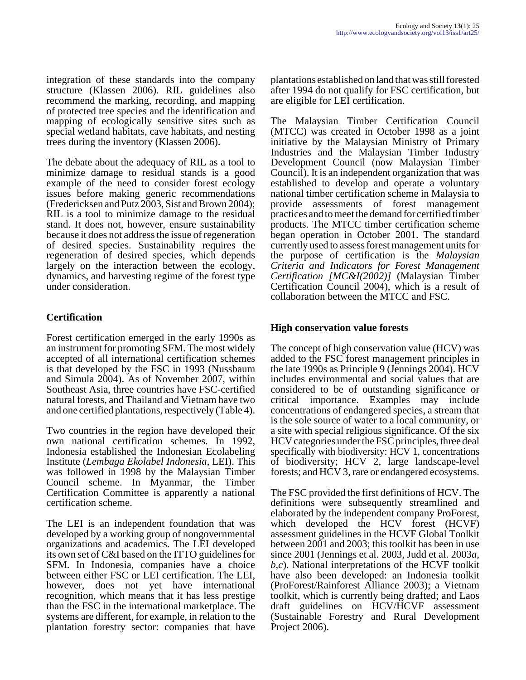structure (Klassen 2006). RIL guidelines also recommend the marking, recording, and mapping of protected tree species and the identification and mapping of ecologically sensitive sites such as special wetland habitats, cave habitats, and nesting trees during the inventory (Klassen 2006).

The debate about the adequacy of RIL as a tool to minimize damage to residual stands is a good example of the need to consider forest ecology issues before making generic recommendations (Fredericksen and Putz 2003, Sist and Brown 2004); RIL is a tool to minimize damage to the residual stand. It does not, however, ensure sustainability because it does not address the issue of regeneration of desired species. Sustainability requires the regeneration of desired species, which depends largely on the interaction between the ecology, dynamics, and harvesting regime of the forest type under consideration.

# **Certification**

Forest certification emerged in the early 1990s as an instrument for promoting SFM. The most widely accepted of all international certification schemes is that developed by the FSC in 1993 (Nussbaum and Simula 2004). As of November 2007, within Southeast Asia, three countries have FSC-certified natural forests, and Thailand and Vietnam have two and one certified plantations, respectively (Table 4).

Two countries in the region have developed their own national certification schemes. In 1992, Indonesia established the Indonesian Ecolabeling Institute (*Lembaga Ekolabel Indonesia*, LEI). This was followed in 1998 by the Malaysian Timber Council scheme. In Myanmar, the Timber Certification Committee is apparently a national certification scheme.

The LEI is an independent foundation that was developed by a working group of nongovernmental organizations and academics. The LEI developed its own set of C&I based on the ITTO guidelines for SFM. In Indonesia, companies have a choice between either FSC or LEI certification. The LEI, however, does not yet have international recognition, which means that it has less prestige than the FSC in the international marketplace. The systems are different, for example, in relation to the plantation forestry sector: companies that have

plantations established on land that was still forested after 1994 do not qualify for FSC certification, but are eligible for LEI certification.

The Malaysian Timber Certification Council (MTCC) was created in October 1998 as a joint initiative by the Malaysian Ministry of Primary Industries and the Malaysian Timber Industry Development Council (now Malaysian Timber Council). It is an independent organization that was established to develop and operate a voluntary national timber certification scheme in Malaysia to provide assessments of forest management practices and to meet the demand for certified timber products. The MTCC timber certification scheme began operation in October 2001. The standard currently used to assess forest management units for the purpose of certification is the *Malaysian Criteria and Indicators for Forest Management Certification [MC&I(2002)]* (Malaysian Timber Certification Council 2004), which is a result of collaboration between the MTCC and FSC.

## **High conservation value forests**

The concept of high conservation value (HCV) was added to the FSC forest management principles in the late 1990s as Principle 9 (Jennings 2004). HCV includes environmental and social values that are considered to be of outstanding significance or critical importance. Examples may include concentrations of endangered species, a stream that is the sole source of water to a local community, or a site with special religious significance. Of the six HCV categories under the FSC principles, three deal specifically with biodiversity: HCV 1, concentrations of biodiversity; HCV 2, large landscape-level forests; and HCV 3, rare or endangered ecosystems.

The FSC provided the first definitions of HCV. The definitions were subsequently streamlined and elaborated by the independent company ProForest, which developed the HCV forest (HCVF) assessment guidelines in the HCVF Global Toolkit between 2001 and 2003; this toolkit has been in use since 2001 (Jennings et al. 2003, Judd et al. 2003*a, b,c*). National interpretations of the HCVF toolkit have also been developed: an Indonesia toolkit (ProForest/Rainforest Alliance 2003); a Vietnam toolkit, which is currently being drafted; and Laos draft guidelines on HCV/HCVF assessment (Sustainable Forestry and Rural Development Project 2006).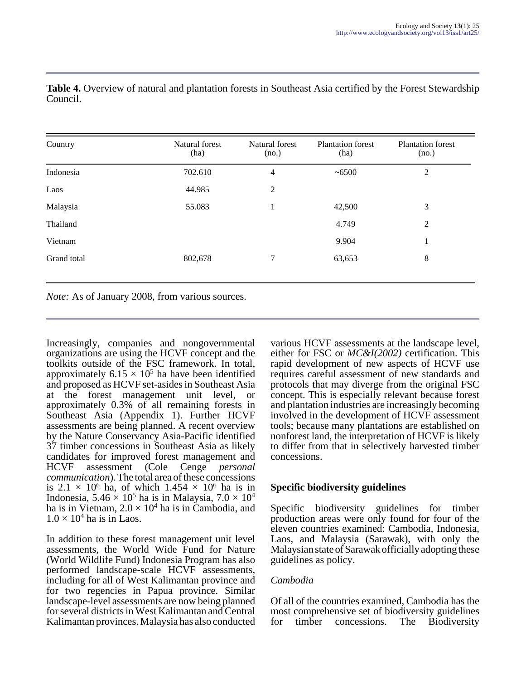| Country     | Natural forest<br>(ha) | Natural forest<br>(no.) | <b>Plantation forest</b><br>(ha) | <b>Plantation forest</b><br>(no.) |
|-------------|------------------------|-------------------------|----------------------------------|-----------------------------------|
| Indonesia   | 702.610                | 4                       | ~100                             | $\overline{c}$                    |
| Laos        | 44.985                 | $\overline{2}$          |                                  |                                   |
| Malaysia    | 55.083                 |                         | 42,500                           | 3                                 |
| Thailand    |                        |                         | 4.749                            | $\overline{c}$                    |
| Vietnam     |                        |                         | 9.904                            | л.                                |
| Grand total | 802,678                | 7                       | 63,653                           | 8                                 |

**Table 4.** Overview of natural and plantation forests in Southeast Asia certified by the Forest Stewardship Council.

*Note:* As of January 2008, from various sources.

Increasingly, companies and nongovernmental organizations are using the HCVF concept and the toolkits outside of the FSC framework. In total, approximately  $6.15 \times 10^5$  ha have been identified and proposed as HCVF set-asides in Southeast Asia at the forest management unit level, or approximately 0.3% of all remaining forests in Southeast Asia (Appendix 1). Further HCVF assessments are being planned. A recent overview by the Nature Conservancy Asia-Pacific identified 37 timber concessions in Southeast Asia as likely candidates for improved forest management and HCVF assessment (Cole Cenge *personal communication*). The total area of these concessions is  $2.1 \times 10^6$  ha, of which  $1.454 \times 10^6$  ha is in Indonesia,  $5.46 \times 10^5$  ha is in Malaysia,  $7.0 \times 10^4$ ha is in Vietnam,  $2.0 \times 10^4$  ha is in Cambodia, and  $1.0 \times 10^4$  ha is in Laos.

In addition to these forest management unit level assessments, the World Wide Fund for Nature (World Wildlife Fund) Indonesia Program has also performed landscape-scale HCVF assessments, including for all of West Kalimantan province and for two regencies in Papua province. Similar landscape-level assessments are now being planned for several districts in West Kalimantan and Central Kalimantan provinces. Malaysia has also conducted various HCVF assessments at the landscape level, either for FSC or *MC&I(2002)* certification. This rapid development of new aspects of HCVF use requires careful assessment of new standards and protocols that may diverge from the original FSC concept. This is especially relevant because forest and plantation industries are increasingly becoming involved in the development of HCVF assessment tools; because many plantations are established on nonforest land, the interpretation of HCVF is likely to differ from that in selectively harvested timber concessions.

## **Specific biodiversity guidelines**

Specific biodiversity guidelines for timber production areas were only found for four of the eleven countries examined: Cambodia, Indonesia, Laos, and Malaysia (Sarawak), with only the Malaysian state of Sarawak officially adopting these guidelines as policy.

## *Cambodia*

Of all of the countries examined, Cambodia has the most comprehensive set of biodiversity guidelines for timber concessions. The Biodiversity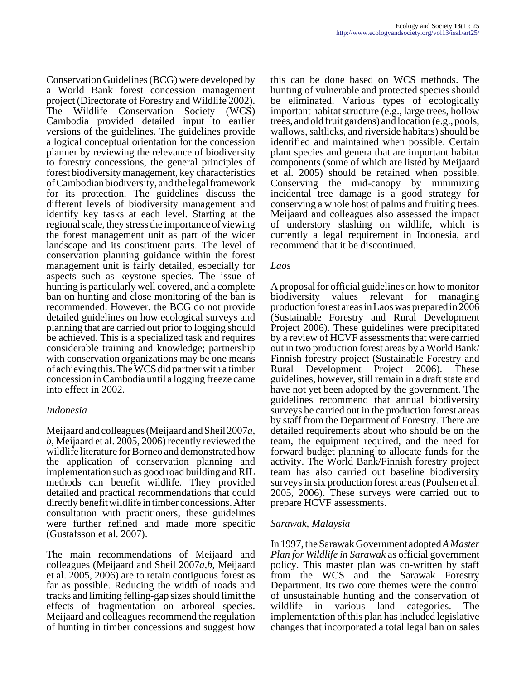Conservation Guidelines (BCG) were developed by a World Bank forest concession management project (Directorate of Forestry and Wildlife 2002). The Wildlife Conservation Society (WCS) Cambodia provided detailed input to earlier versions of the guidelines. The guidelines provide a logical conceptual orientation for the concession planner by reviewing the relevance of biodiversity to forestry concessions, the general principles of forest biodiversity management, key characteristics of Cambodian biodiversity, and the legal framework for its protection. The guidelines discuss the different levels of biodiversity management and identify key tasks at each level. Starting at the regional scale, they stress the importance of viewing the forest management unit as part of the wider landscape and its constituent parts. The level of conservation planning guidance within the forest management unit is fairly detailed, especially for aspects such as keystone species. The issue of hunting is particularly well covered, and a complete ban on hunting and close monitoring of the ban is recommended. However, the BCG do not provide detailed guidelines on how ecological surveys and planning that are carried out prior to logging should be achieved. This is a specialized task and requires considerable training and knowledge; partnership with conservation organizations may be one means of achieving this. The WCS did partner with a timber concession in Cambodia until a logging freeze came into effect in 2002.

## *Indonesia*

Meijaard and colleagues (Meijaard and Sheil 2007*a, b*, Meijaard et al. 2005, 2006) recently reviewed the wildlife literature for Borneo and demonstrated how the application of conservation planning and implementation such as good road building and RIL methods can benefit wildlife. They provided detailed and practical recommendations that could directly benefit wildlife in timber concessions. After consultation with practitioners, these guidelines were further refined and made more specific (Gustafsson et al. 2007).

The main recommendations of Meijaard and colleagues (Meijaard and Sheil 2007*a,b*, Meijaard et al. 2005, 2006) are to retain contiguous forest as far as possible. Reducing the width of roads and tracks and limiting felling-gap sizes should limit the effects of fragmentation on arboreal species. Meijaard and colleagues recommend the regulation of hunting in timber concessions and suggest how

this can be done based on WCS methods. The hunting of vulnerable and protected species should be eliminated. Various types of ecologically important habitat structure (e.g., large trees, hollow trees, and old fruit gardens) and location (e.g., pools, wallows, saltlicks, and riverside habitats) should be identified and maintained when possible. Certain plant species and genera that are important habitat components (some of which are listed by Meijaard et al. 2005) should be retained when possible. Conserving the mid-canopy by minimizing incidental tree damage is a good strategy for conserving a whole host of palms and fruiting trees. Meijaard and colleagues also assessed the impact of understory slashing on wildlife, which is currently a legal requirement in Indonesia, and recommend that it be discontinued.

## *Laos*

A proposal for official guidelines on how to monitor biodiversity values relevant for managing production forest areas in Laos was prepared in 2006 (Sustainable Forestry and Rural Development Project 2006). These guidelines were precipitated by a review of HCVF assessments that were carried out in two production forest areas by a World Bank/ Finnish forestry project (Sustainable Forestry and Rural Development Project 2006). These guidelines, however, still remain in a draft state and have not yet been adopted by the government. The guidelines recommend that annual biodiversity surveys be carried out in the production forest areas by staff from the Department of Forestry. There are detailed requirements about who should be on the team, the equipment required, and the need for forward budget planning to allocate funds for the activity. The World Bank/Finnish forestry project team has also carried out baseline biodiversity surveys in six production forest areas (Poulsen et al. 2005, 2006). These surveys were carried out to prepare HCVF assessments.

## *Sarawak, Malaysia*

In 1997, the Sarawak Government adopted *A Master Plan for Wildlife in Sarawak* as official government policy. This master plan was co-written by staff from the WCS and the Sarawak Forestry Department. Its two core themes were the control of unsustainable hunting and the conservation of wildlife in various land categories. The implementation of this plan has included legislative changes that incorporated a total legal ban on sales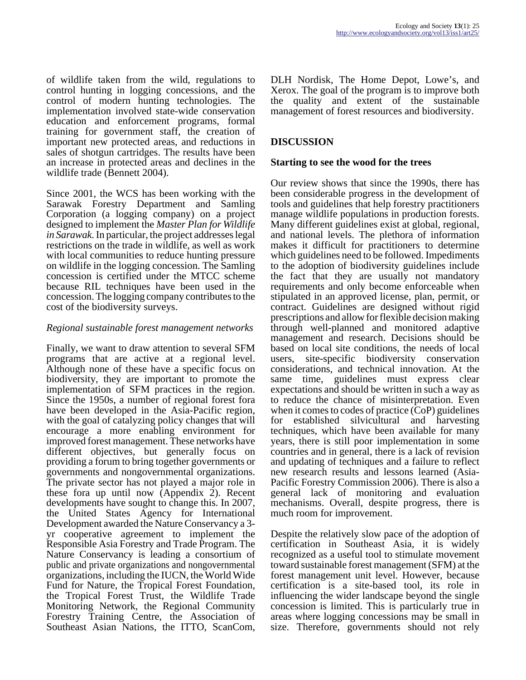of wildlife taken from the wild, regulations to control hunting in logging concessions, and the control of modern hunting technologies. The implementation involved state-wide conservation education and enforcement programs, formal training for government staff, the creation of important new protected areas, and reductions in sales of shotgun cartridges. The results have been an increase in protected areas and declines in the wildlife trade (Bennett 2004).

Since 2001, the WCS has been working with the Sarawak Forestry Department and Samling Corporation (a logging company) on a project designed to implement the *Master Plan for Wildlife in Sarawak.* In particular, the project addresses legal restrictions on the trade in wildlife, as well as work with local communities to reduce hunting pressure on wildlife in the logging concession. The Samling concession is certified under the MTCC scheme because RIL techniques have been used in the concession. The logging company contributes to the cost of the biodiversity surveys.

## *Regional sustainable forest management networks*

Finally, we want to draw attention to several SFM programs that are active at a regional level. Although none of these have a specific focus on biodiversity, they are important to promote the implementation of SFM practices in the region. Since the 1950s, a number of regional forest fora have been developed in the Asia-Pacific region, with the goal of catalyzing policy changes that will encourage a more enabling environment for improved forest management. These networks have different objectives, but generally focus on providing a forum to bring together governments or governments and nongovernmental organizations. The private sector has not played a major role in these fora up until now (Appendix 2). Recent developments have sought to change this. In 2007, the United States Agency for International Development awarded the Nature Conservancy a 3 yr cooperative agreement to implement the Responsible Asia Forestry and Trade Program. The Nature Conservancy is leading a consortium of public and private organizations and nongovernmental organizations, including the IUCN, the World Wide Fund for Nature, the Tropical Forest Foundation, the Tropical Forest Trust, the Wildlife Trade Monitoring Network, the Regional Community Forestry Training Centre, the Association of Southeast Asian Nations, the ITTO, ScanCom,

DLH Nordisk, The Home Depot, Lowe's, and Xerox. The goal of the program is to improve both the quality and extent of the sustainable management of forest resources and biodiversity.

## **DISCUSSION**

## **Starting to see the wood for the trees**

Our review shows that since the 1990s, there has been considerable progress in the development of tools and guidelines that help forestry practitioners manage wildlife populations in production forests. Many different guidelines exist at global, regional, and national levels. The plethora of information makes it difficult for practitioners to determine which guidelines need to be followed. Impediments to the adoption of biodiversity guidelines include the fact that they are usually not mandatory requirements and only become enforceable when stipulated in an approved license, plan, permit, or contract. Guidelines are designed without rigid prescriptions and allow for flexible decision making through well-planned and monitored adaptive management and research. Decisions should be based on local site conditions, the needs of local users, site-specific biodiversity conservation considerations, and technical innovation. At the same time, guidelines must express clear expectations and should be written in such a way as to reduce the chance of misinterpretation. Even when it comes to codes of practice (CoP) guidelines for established silvicultural and harvesting techniques, which have been available for many years, there is still poor implementation in some countries and in general, there is a lack of revision and updating of techniques and a failure to reflect new research results and lessons learned (Asia-Pacific Forestry Commission 2006). There is also a general lack of monitoring and evaluation mechanisms. Overall, despite progress, there is much room for improvement.

Despite the relatively slow pace of the adoption of certification in Southeast Asia, it is widely recognized as a useful tool to stimulate movement toward sustainable forest management (SFM) at the forest management unit level. However, because certification is a site-based tool, its role in influencing the wider landscape beyond the single concession is limited. This is particularly true in areas where logging concessions may be small in size. Therefore, governments should not rely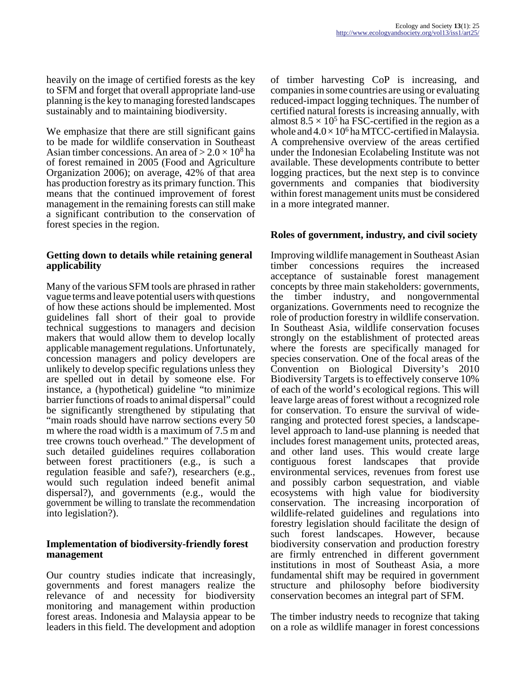heavily on the image of certified forests as the key to SFM and forget that overall appropriate land-use planning is the key to managing forested landscapes sustainably and to maintaining biodiversity.

We emphasize that there are still significant gains to be made for wildlife conservation in Southeast Asian timber concessions. An area of  $> 2.0 \times 10^8$  ha of forest remained in 2005 (Food and Agriculture Organization 2006); on average, 42% of that area has production forestry as its primary function. This means that the continued improvement of forest management in the remaining forests can still make a significant contribution to the conservation of forest species in the region.

#### **Getting down to details while retaining general applicability**

Many of the various SFM tools are phrased in rather vague terms and leave potential users with questions of how these actions should be implemented. Most guidelines fall short of their goal to provide technical suggestions to managers and decision makers that would allow them to develop locally applicable management regulations. Unfortunately, concession managers and policy developers are unlikely to develop specific regulations unless they are spelled out in detail by someone else. For instance, a (hypothetical) guideline "to minimize barrier functions of roads to animal dispersal" could be significantly strengthened by stipulating that "main roads should have narrow sections every 50 m where the road width is a maximum of 7.5 m and tree crowns touch overhead." The development of such detailed guidelines requires collaboration between forest practitioners (e.g., is such a regulation feasible and safe?), researchers (e.g., would such regulation indeed benefit animal dispersal?), and governments (e.g., would the government be willing to translate the recommendation into legislation?).

#### **Implementation of biodiversity-friendly forest management**

Our country studies indicate that increasingly, governments and forest managers realize the relevance of and necessity for biodiversity monitoring and management within production forest areas. Indonesia and Malaysia appear to be leaders in this field. The development and adoption

of timber harvesting CoP is increasing, and companies in some countries are using or evaluating reduced-impact logging techniques. The number of certified natural forests is increasing annually, with almost  $8.5 \times 10^5$  ha FSC-certified in the region as a whole and  $4.0 \times 10^6$  ha MTCC-certified in Malaysia. A comprehensive overview of the areas certified under the Indonesian Ecolabeling Institute was not available. These developments contribute to better logging practices, but the next step is to convince governments and companies that biodiversity within forest management units must be considered in a more integrated manner.

## **Roles of government, industry, and civil society**

Improving wildlife management in Southeast Asian timber concessions requires the increased acceptance of sustainable forest management concepts by three main stakeholders: governments, the timber industry, and nongovernmental organizations. Governments need to recognize the role of production forestry in wildlife conservation. In Southeast Asia, wildlife conservation focuses strongly on the establishment of protected areas where the forests are specifically managed for species conservation. One of the focal areas of the Convention on Biological Diversity's 2010 Biodiversity Targets is to effectively conserve 10% of each of the world's ecological regions. This will leave large areas of forest without a recognized role for conservation. To ensure the survival of wideranging and protected forest species, a landscapelevel approach to land-use planning is needed that includes forest management units, protected areas, and other land uses. This would create large contiguous forest landscapes that provide environmental services, revenues from forest use and possibly carbon sequestration, and viable ecosystems with high value for biodiversity conservation. The increasing incorporation of wildlife-related guidelines and regulations into forestry legislation should facilitate the design of such forest landscapes. However, because biodiversity conservation and production forestry are firmly entrenched in different government institutions in most of Southeast Asia, a more fundamental shift may be required in government structure and philosophy before biodiversity conservation becomes an integral part of SFM.

The timber industry needs to recognize that taking on a role as wildlife manager in forest concessions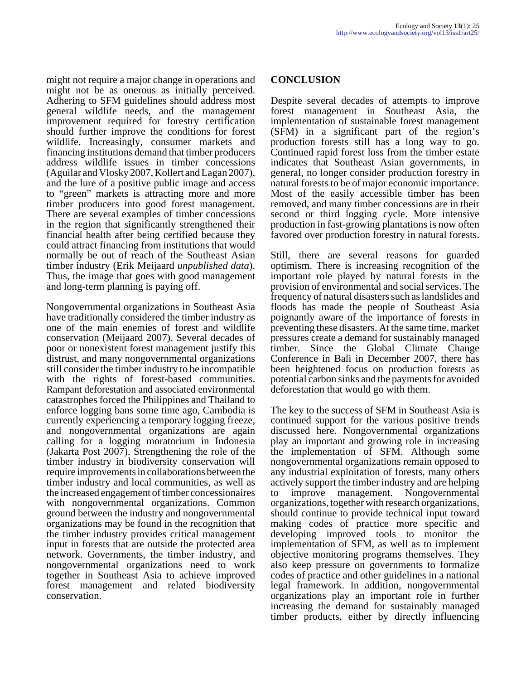might not require a major change in operations and might not be as onerous as initially perceived. Adhering to SFM guidelines should address most general wildlife needs, and the management improvement required for forestry certification should further improve the conditions for forest wildlife. Increasingly, consumer markets and financing institutions demand that timber producers address wildlife issues in timber concessions (Aguilar and Vlosky 2007, Kollert and Lagan 2007), and the lure of a positive public image and access to "green" markets is attracting more and more timber producers into good forest management. There are several examples of timber concessions in the region that significantly strengthened their financial health after being certified because they could attract financing from institutions that would normally be out of reach of the Southeast Asian timber industry (Erik Meijaard *unpublished data*). Thus, the image that goes with good management and long-term planning is paying off.

Nongovernmental organizations in Southeast Asia have traditionally considered the timber industry as one of the main enemies of forest and wildlife conservation (Meijaard 2007). Several decades of poor or nonexistent forest management justify this distrust, and many nongovernmental organizations still consider the timber industry to be incompatible with the rights of forest-based communities. Rampant deforestation and associated environmental catastrophes forced the Philippines and Thailand to enforce logging bans some time ago, Cambodia is currently experiencing a temporary logging freeze, and nongovernmental organizations are again calling for a logging moratorium in Indonesia (Jakarta Post 2007). Strengthening the role of the timber industry in biodiversity conservation will require improvements in collaborations between the timber industry and local communities, as well as the increased engagement of timber concessionaires with nongovernmental organizations. Common ground between the industry and nongovernmental organizations may be found in the recognition that the timber industry provides critical management input in forests that are outside the protected area network. Governments, the timber industry, and nongovernmental organizations need to work together in Southeast Asia to achieve improved forest management and related biodiversity conservation.

#### **CONCLUSION**

Despite several decades of attempts to improve forest management in Southeast Asia, the implementation of sustainable forest management (SFM) in a significant part of the region's production forests still has a long way to go. Continued rapid forest loss from the timber estate indicates that Southeast Asian governments, in general, no longer consider production forestry in natural forests to be of major economic importance. Most of the easily accessible timber has been removed, and many timber concessions are in their second or third logging cycle. More intensive production in fast-growing plantations is now often favored over production forestry in natural forests.

Still, there are several reasons for guarded optimism. There is increasing recognition of the important role played by natural forests in the provision of environmental and social services. The frequency of natural disasters such as landslides and floods has made the people of Southeast Asia poignantly aware of the importance of forests in preventing these disasters. At the same time, market pressures create a demand for sustainably managed timber. Since the Global Climate Change Conference in Bali in December 2007, there has been heightened focus on production forests as potential carbon sinks and the payments for avoided deforestation that would go with them.

The key to the success of SFM in Southeast Asia is continued support for the various positive trends discussed here. Nongovernmental organizations play an important and growing role in increasing the implementation of SFM. Although some nongovernmental organizations remain opposed to any industrial exploitation of forests, many others actively support the timber industry and are helping to improve management. Nongovernmental organizations, together with research organizations, should continue to provide technical input toward making codes of practice more specific and developing improved tools to monitor the implementation of SFM, as well as to implement objective monitoring programs themselves. They also keep pressure on governments to formalize codes of practice and other guidelines in a national legal framework. In addition, nongovernmental organizations play an important role in further increasing the demand for sustainably managed timber products, either by directly influencing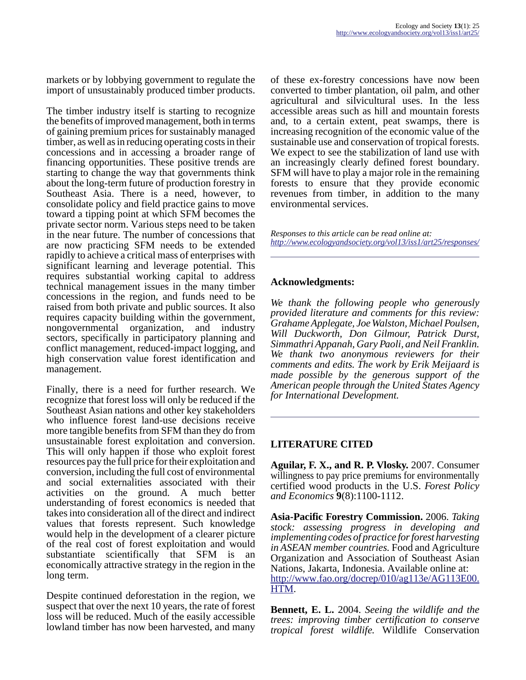markets or by lobbying government to regulate the import of unsustainably produced timber products.

The timber industry itself is starting to recognize the benefits of improved management, both in terms of gaining premium prices for sustainably managed timber, as well as in reducing operating costs in their concessions and in accessing a broader range of financing opportunities. These positive trends are starting to change the way that governments think about the long-term future of production forestry in Southeast Asia. There is a need, however, to consolidate policy and field practice gains to move toward a tipping point at which SFM becomes the private sector norm. Various steps need to be taken in the near future. The number of concessions that are now practicing SFM needs to be extended rapidly to achieve a critical mass of enterprises with significant learning and leverage potential. This requires substantial working capital to address technical management issues in the many timber concessions in the region, and funds need to be raised from both private and public sources. It also requires capacity building within the government, nongovernmental organization, and industry sectors, specifically in participatory planning and conflict management, reduced-impact logging, and high conservation value forest identification and management.

Finally, there is a need for further research. We recognize that forest loss will only be reduced if the Southeast Asian nations and other key stakeholders who influence forest land-use decisions receive more tangible benefits from SFM than they do from unsustainable forest exploitation and conversion. This will only happen if those who exploit forest resources pay the full price for their exploitation and conversion, including the full cost of environmental and social externalities associated with their activities on the ground. A much better understanding of forest economics is needed that takes into consideration all of the direct and indirect values that forests represent. Such knowledge would help in the development of a clearer picture of the real cost of forest exploitation and would substantiate scientifically that SFM is an economically attractive strategy in the region in the long term.

Despite continued deforestation in the region, we suspect that over the next 10 years, the rate of forest loss will be reduced. Much of the easily accessible lowland timber has now been harvested, and many

of these ex-forestry concessions have now been converted to timber plantation, oil palm, and other agricultural and silvicultural uses. In the less accessible areas such as hill and mountain forests and, to a certain extent, peat swamps, there is increasing recognition of the economic value of the sustainable use and conservation of tropical forests. We expect to see the stabilization of land use with an increasingly clearly defined forest boundary. SFM will have to play a major role in the remaining forests to ensure that they provide economic revenues from timber, in addition to the many environmental services.

*Responses to this article can be read online at: <http://www.ecologyandsociety.org/vol13/iss1/art25/responses/>*

#### **Acknowledgments:**

*We thank the following people who generously provided literature and comments for this review: Grahame Applegate, Joe Walston, Michael Poulsen, Will Duckworth, Don Gilmour, Patrick Durst, Simmathri Appanah, Gary Paoli, and Neil Franklin. We thank two anonymous reviewers for their comments and edits. The work by Erik Meijaard is made possible by the generous support of the American people through the United States Agency for International Development.*

#### **LITERATURE CITED**

**Aguilar, F. X., and R. P. Vlosky.** 2007. Consumer willingness to pay price premiums for environmentally certified wood products in the U.S. *Forest Policy and Economics* **9**(8):1100-1112.

**Asia-Pacific Forestry Commission.** 2006. *Taking stock: assessing progress in developing and implementing codes of practice for forest harvesting in ASEAN member countries.* Food and Agriculture Organization and Association of Southeast Asian Nations, Jakarta, Indonesia. Available online at: [http://www.fao.org/docrep/010/ag113e/AG113E00.](http://www.fao.org/docrep/010/ag113e/AG113E00.HTM) [HTM.](http://www.fao.org/docrep/010/ag113e/AG113E00.HTM)

**Bennett, E. L.** 2004. *Seeing the wildlife and the trees: improving timber certification to conserve tropical forest wildlife.* Wildlife Conservation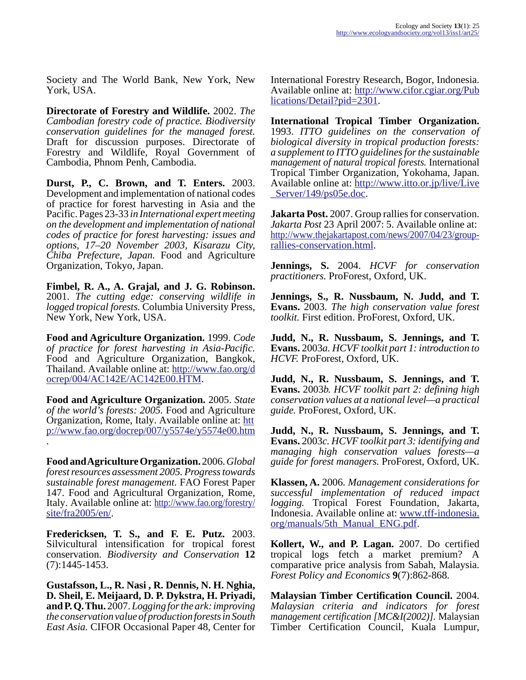Society and The World Bank, New York, New York, USA.

**Directorate of Forestry and Wildlife.** 2002. *The Cambodian forestry code of practice. Biodiversity conservation guidelines for the managed forest.* Draft for discussion purposes. Directorate of Forestry and Wildlife, Royal Government of Cambodia, Phnom Penh, Cambodia.

**Durst, P., C. Brown, and T. Enters.** 2003. Development and implementation of national codes of practice for forest harvesting in Asia and the Pacific. Pages 23-33 *in International expert meeting on the development and implementation of national codes of practice for forest harvesting: issues and options, 17–20 November 2003, Kisarazu City, Chiba Prefecture, Japan.* Food and Agriculture Organization, Tokyo, Japan.

**Fimbel, R. A., A. Grajal, and J. G. Robinson.** 2001. *The cutting edge: conserving wildlife in logged tropical forests.* Columbia University Press, New York, New York, USA.

**Food and Agriculture Organization.** 1999. *Code of practice for forest harvesting in Asia-Pacific.* Food and Agriculture Organization, Bangkok, Thailand. Available online at: [http://www.fao.org/d](http://www.fao.org/docrep/004/AC142E/AC142E00.HTM) [ocrep/004/AC142E/AC142E00.HTM](http://www.fao.org/docrep/004/AC142E/AC142E00.HTM).

**Food and Agriculture Organization.** 2005. *State of the world's forests: 2005.* Food and Agriculture Organization, Rome, Italy. Available online at: [htt](http://www.fao.org/docrep/007/y5574e/y5574e00.htm) [p://www.fao.org/docrep/007/y5574e/y5574e00.htm](http://www.fao.org/docrep/007/y5574e/y5574e00.htm) .

**Food and Agriculture Organization.** 2006. *Global forest resources assessment 2005. Progress towards sustainable forest management.* FAO Forest Paper 147. Food and Agricultural Organization, Rome, Italy. Available online at: [http://www.fao.org/forestry/](http://www.fao.org/forestry/site/fra2005/en/) [site/fra2005/en/](http://www.fao.org/forestry/site/fra2005/en/).

**Fredericksen, T. S., and F. E. Putz.** 2003. Silvicultural intensification for tropical forest conservation. *Biodiversity and Conservation* **12** (7):1445-1453.

**Gustafsson, L., R. Nasi , R. Dennis, N. H. Nghia, D. Sheil, E. Meijaard, D. P. Dykstra, H. Priyadi, and P. Q. Thu.** 2007. *Logging for the ark: improving the conservation value of production forests in South East Asia.* CIFOR Occasional Paper 48, Center for

International Forestry Research, Bogor, Indonesia. Available online at: [http://www.cifor.cgiar.org/Pub](http://www.cifor.cgiar.org/Publications/Detail?pid=2301) [lications/Detail?pid=2301.](http://www.cifor.cgiar.org/Publications/Detail?pid=2301)

**International Tropical Timber Organization.** 1993. *ITTO guidelines on the conservation of biological diversity in tropical production forests: a supplement to ITTO guidelines for the sustainable management of natural tropical forests.* International Tropical Timber Organization, Yokohama, Japan. Available online at: [http://www.itto.or.jp/live/Live](http://www.itto.or.jp/live/Live_Server/149/ps05e.doc) Server/149/ps05e.doc.

**Jakarta Post.** 2007. Group rallies for conservation. *Jakarta Post* 23 April 2007: 5. Available online at: [http://www.thejakartapost.com/news/2007/04/23/group](http://www.thejakartapost.com/news/2007/04/23/group-rallies-conservation.html)[rallies-conservation.html.](http://www.thejakartapost.com/news/2007/04/23/group-rallies-conservation.html)

**Jennings, S.** 2004. *HCVF for conservation practitioners.* ProForest, Oxford, UK.

**Jennings, S., R. Nussbaum, N. Judd, and T. Evans.** 2003. *The high conservation value forest toolkit.* First edition. ProForest, Oxford, UK.

**Judd, N., R. Nussbaum, S. Jennings, and T. Evans.** 2003*a. HCVF toolkit part 1: introduction to HCVF.* ProForest, Oxford, UK.

**Judd, N., R. Nussbaum, S. Jennings, and T. Evans.** 2003*b. HCVF toolkit part 2: defining high conservation values at a national level—a practical guide.* ProForest, Oxford, UK.

**Judd, N., R. Nussbaum, S. Jennings, and T. Evans.** 2003*c. HCVF toolkit part 3: identifying and managing high conservation values forests—a guide for forest managers.* ProForest, Oxford, UK.

**Klassen, A.** 2006. *Management considerations for successful implementation of reduced impact logging.* Tropical Forest Foundation, Jakarta, Indonesia. Available online at: [www.tff-indonesia.](http://www.tff-indonesia.org/manuals/5th_Manual_ENG.pdf) [org/manuals/5th\\_Manual\\_ENG.pdf](http://www.tff-indonesia.org/manuals/5th_Manual_ENG.pdf).

**Kollert, W., and P. Lagan.** 2007. Do certified tropical logs fetch a market premium? A comparative price analysis from Sabah, Malaysia. *Forest Policy and Economics* **9**(7):862-868.

**Malaysian Timber Certification Council.** 2004. *Malaysian criteria and indicators for forest management certification [MC&I(2002)].* Malaysian Timber Certification Council, Kuala Lumpur,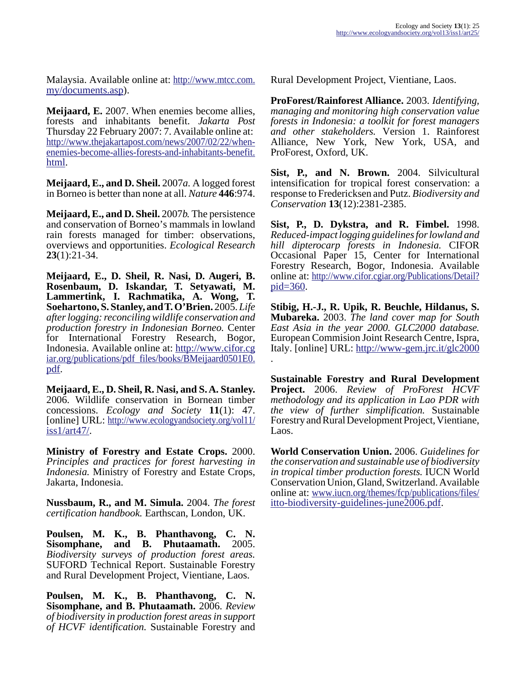Malaysia. Available online at: [http://www.mtcc.com.](http://www.mtcc.com.my/documents.asp) [my/documents.asp\)](http://www.mtcc.com.my/documents.asp).

**Meijaard, E.** 2007. When enemies become allies, forests and inhabitants benefit. *Jakarta Post* Thursday 22 February 2007: 7. Available online at: [http://www.thejakartapost.com/news/2007/02/22/when](http://www.thejakartapost.com/news/2007/02/22/when-enemies-become-allies-forests-and-inhabitants-benefit.html)[enemies-become-allies-forests-and-inhabitants-benefit.](http://www.thejakartapost.com/news/2007/02/22/when-enemies-become-allies-forests-and-inhabitants-benefit.html) [html](http://www.thejakartapost.com/news/2007/02/22/when-enemies-become-allies-forests-and-inhabitants-benefit.html).

**Meijaard, E., and D. Sheil.** 2007*a.* A logged forest in Borneo is better than none at all. *Nature* **446**:974.

**Meijaard, E., and D. Sheil.** 2007*b.* The persistence and conservation of Borneo's mammals in lowland rain forests managed for timber: observations, overviews and opportunities. *Ecological Research* **23**(1):21-34.

**Meijaard, E., D. Sheil, R. Nasi, D. Augeri, B. Rosenbaum, D. Iskandar, T. Setyawati, M. Lammertink, I. Rachmatika, A. Wong, T. Soehartono, S. Stanley, and T. O'Brien.** 2005. *Life after logging: reconciling wildlife conservation and production forestry in Indonesian Borneo.* Center for International Forestry Research, Bogor, Indonesia. Available online at: [http://www.cifor.cg](http://www.cifor.cgiar.org/publications/pdf_files/books/BMeijaard0501E0.pdf) iar.org/publications/pdf\_files/books/BMeijaard0501E0. [pdf.](http://www.cifor.cgiar.org/publications/pdf_files/books/BMeijaard0501E0.pdf)

**Meijaard, E., D. Sheil, R. Nasi, and S. A. Stanley.** 2006. Wildlife conservation in Bornean timber concessions. *Ecology and Society* **11**(1): 47. [online] URL: [http://www.ecologyandsociety.org/vol11/](http://www.ecologyandsociety.org/vol11/iss1/art47/) [iss1/art47/](http://www.ecologyandsociety.org/vol11/iss1/art47/).

**Ministry of Forestry and Estate Crops.** 2000. *Principles and practices for forest harvesting in Indonesia.* Ministry of Forestry and Estate Crops, Jakarta, Indonesia.

**Nussbaum, R., and M. Simula.** 2004. *The forest certification handbook.* Earthscan, London, UK.

**Poulsen, M. K., B. Phanthavong, C. N. Sisomphane, and B. Phutaamath.** 2005. *Biodiversity surveys of production forest areas.* SUFORD Technical Report. Sustainable Forestry and Rural Development Project, Vientiane, Laos.

**Poulsen, M. K., B. Phanthavong, C. N. Sisomphane, and B. Phutaamath.** 2006. *Review of biodiversity in production forest areas in support of HCVF identification.* Sustainable Forestry and

Rural Development Project, Vientiane, Laos.

**ProForest/Rainforest Alliance.** 2003. *Identifying, managing and monitoring high conservation value forests in Indonesia: a toolkit for forest managers and other stakeholders.* Version 1. Rainforest Alliance, New York, New York, USA, and ProForest, Oxford, UK.

**Sist, P., and N. Brown.** 2004. Silvicultural intensification for tropical forest conservation: a response to Fredericksen and Putz. *Biodiversity and Conservation* **13**(12):2381-2385.

**Sist, P., D. Dykstra, and R. Fimbel.** 1998. *Reduced-impact logging guidelines for lowland and hill dipterocarp forests in Indonesia.* CIFOR Occasional Paper 15, Center for International Forestry Research, Bogor, Indonesia. Available online at: [http://www.cifor.cgiar.org/Publications/Detail?](http://www.cifor.cgiar.org/Publications/Detail?pid=360) [pid=360](http://www.cifor.cgiar.org/Publications/Detail?pid=360).

**Stibig, H.-J., R. Upik, R. Beuchle, Hildanus, S. Mubareka.** 2003. *The land cover map for South East Asia in the year 2000. GLC2000 database.* European Commision Joint Research Centre, Ispra, Italy. [online] URL:<http://www-gem.jrc.it/glc2000> .

**Sustainable Forestry and Rural Development Project.** 2006. *Review of ProForest HCVF methodology and its application in Lao PDR with the view of further simplification.* Sustainable Forestry and Rural Development Project, Vientiane, Laos.

**World Conservation Union.** 2006. *Guidelines for the conservation and sustainable use of biodiversity in tropical timber production forests.* IUCN World Conservation Union, Gland, Switzerland. Available online at: [www.iucn.org/themes/fcp/publications/files/](http://www.iucn.org/themes/fcp/publications/files/itto-biodiversity-guidelines-june2006.pdf) [itto-biodiversity-guidelines-june2006.pdf](http://www.iucn.org/themes/fcp/publications/files/itto-biodiversity-guidelines-june2006.pdf).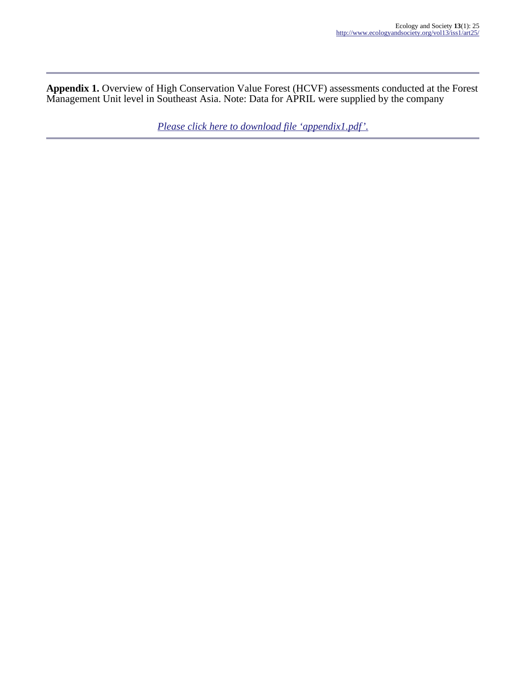**Appendix 1.** Overview of High Conservation Value Forest (HCVF) assessments conducted at the Forest Management Unit level in Southeast Asia. Note: Data for APRIL were supplied by the company

*[Please click here to download file 'appendix1.pdf'.](http://www.ecologyandsociety.org/2427/appendix1.pdf)*